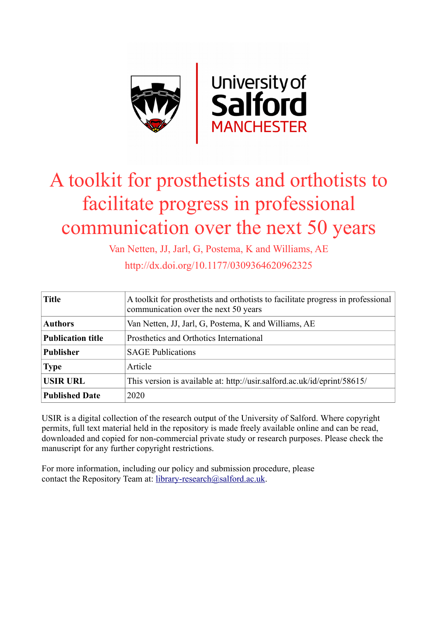

# A toolkit for prosthetists and orthotists to facilitate progress in professional communication over the next 50 years

Van Netten, JJ, Jarl, G, Postema, K and Williams, AE

http://dx.doi.org/10.1177/0309364620962325

| <b>Title</b>             | A toolkit for prosthetists and orthotists to facilitate progress in professional<br>communication over the next 50 years |
|--------------------------|--------------------------------------------------------------------------------------------------------------------------|
| <b>Authors</b>           | Van Netten, JJ, Jarl, G, Postema, K and Williams, AE                                                                     |
| <b>Publication title</b> | Prosthetics and Orthotics International                                                                                  |
| <b>Publisher</b>         | <b>SAGE Publications</b>                                                                                                 |
| <b>Type</b>              | Article                                                                                                                  |
| <b>USIR URL</b>          | This version is available at: http://usir.salford.ac.uk/id/eprint/58615/                                                 |
| <b>Published Date</b>    | 2020                                                                                                                     |

USIR is a digital collection of the research output of the University of Salford. Where copyright permits, full text material held in the repository is made freely available online and can be read, downloaded and copied for non-commercial private study or research purposes. Please check the manuscript for any further copyright restrictions.

For more information, including our policy and submission procedure, please contact the Repository Team at: [library-research@salford.ac.uk.](mailto:library-research@salford.ac.uk)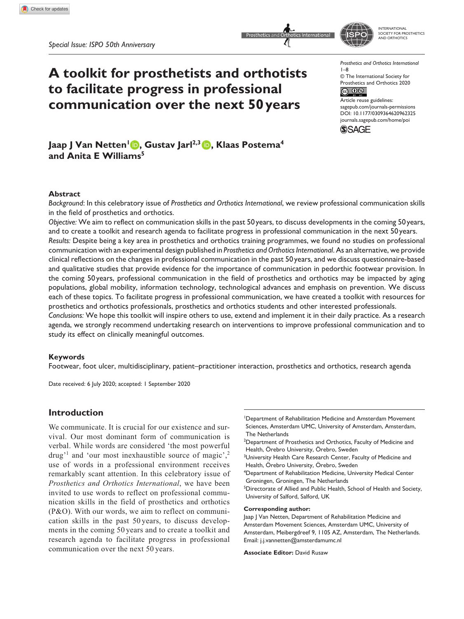## **A toolkit for prosthetists and orthotists to facilitate progress in professional communication over the next 50years**





INTERNATIONAL STENSSTIONAL<br>OCIETY FOR PROSTHETICS AND ORTHOTICS

*Prosthetics and Orthotics International* 1–8

© The International Society for Prosthetics and Orthotics 2020

DOI: 10.1177/0309364620962325 Article reuse guidelines: [sagepub.com/journals-permissions](https://uk.sagepub.com/en-gb/journals-permissions) [journals.sagepub.com/home/poi](https://journals.sagepub.com/home/poi)



### **Jaap J Van Netten1 , Gustav Jarl2,3 , Klaas Postema4 and Anita E Williams5**

#### **Abstract**

*Background*: In this celebratory issue of *Prosthetics and Orthotics International*, we review professional communication skills in the field of prosthetics and orthotics.

*Objective:* We aim to reflect on communication skills in the past 50 years, to discuss developments in the coming 50 years, and to create a toolkit and research agenda to facilitate progress in professional communication in the next 50years. *Results:* Despite being a key area in prosthetics and orthotics training programmes, we found no studies on professional communication with an experimental design published in *Prosthetics and Orthotics International*. As an alternative, we provide clinical reflections on the changes in professional communication in the past 50 years, and we discuss questionnaire-based and qualitative studies that provide evidence for the importance of communication in pedorthic footwear provision. In the coming 50 years, professional communication in the field of prosthetics and orthotics may be impacted by aging populations, global mobility, information technology, technological advances and emphasis on prevention. We discuss each of these topics. To facilitate progress in professional communication, we have created a toolkit with resources for prosthetics and orthotics professionals, prosthetics and orthotics students and other interested professionals.

*Conclusions:* We hope this toolkit will inspire others to use, extend and implement it in their daily practice. As a research agenda, we strongly recommend undertaking research on interventions to improve professional communication and to study its effect on clinically meaningful outcomes.

#### **Keywords**

Footwear, foot ulcer, multidisciplinary, patient–practitioner interaction, prosthetics and orthotics, research agenda

Date received: 6 July 2020; accepted: 1 September 2020

#### **Introduction**

We communicate. It is crucial for our existence and survival. Our most dominant form of communication is verbal. While words are considered 'the most powerful drug<sup>'1</sup> and 'our most inexhaustible source of magic',<sup>2</sup> use of words in a professional environment receives remarkably scant attention. In this celebratory issue of *Prosthetics and Orthotics International*, we have been invited to use words to reflect on professional communication skills in the field of prosthetics and orthotics (P&O). With our words, we aim to reflect on communication skills in the past 50 years, to discuss developments in the coming 50 years and to create a toolkit and research agenda to facilitate progress in professional communication over the next 50 years.

1 Department of Rehabilitation Medicine and Amsterdam Movement Sciences, Amsterdam UMC, University of Amsterdam, Amsterdam, The Netherlands

<sup>2</sup>Department of Prosthetics and Orthotics, Faculty of Medicine and Health, Örebro University, Örebro, Sweden

<sup>3</sup>University Health Care Research Center, Faculty of Medicine and Health, Örebro University, Örebro, Sweden

- 4 Department of Rehabilitation Medicine, University Medical Center Groningen, Groningen, The Netherlands
- <sup>5</sup>Directorate of Allied and Public Health, School of Health and Society, University of Salford, Salford, UK

#### **Corresponding author:**

Jaap J Van Netten, Department of Rehabilitation Medicine and Amsterdam Movement Sciences, Amsterdam UMC, University of Amsterdam, Meibergdreef 9, 1105 AZ, Amsterdam, The Netherlands. Email: [j.j.vannetten@amsterdamumc.nl](mailto:j.j.vannetten@amsterdamumc.nl)

**Associate Editor:** David Rusaw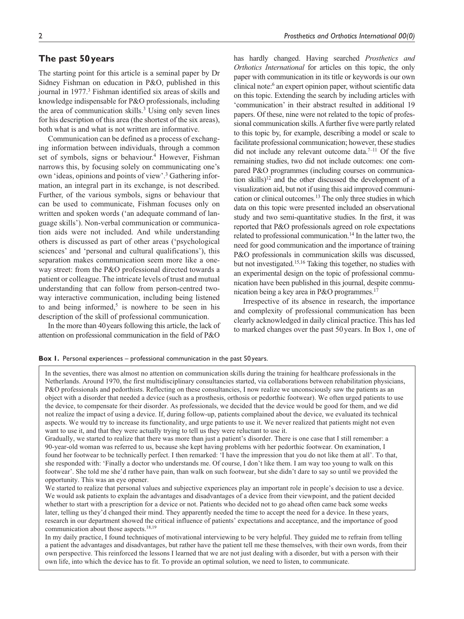#### **The past 50years**

The starting point for this article is a seminal paper by Dr Sidney Fishman on education in P&O, published in this journal in 1977.3 Fishman identified six areas of skills and knowledge indispensable for P&O professionals, including the area of communication skills.<sup>3</sup> Using only seven lines for his description of this area (the shortest of the six areas), both what is and what is not written are informative.

Communication can be defined as a process of exchanging information between individuals, through a common set of symbols, signs or behaviour.<sup>4</sup> However, Fishman narrows this, by focusing solely on communicating one's own 'ideas, opinions and points of view'.<sup>3</sup> Gathering information, an integral part in its exchange, is not described. Further, of the various symbols, signs or behaviour that can be used to communicate, Fishman focuses only on written and spoken words ('an adequate command of language skills'). Non-verbal communication or communication aids were not included. And while understanding others is discussed as part of other areas ('psychological sciences' and 'personal and cultural qualifications'), this separation makes communication seem more like a oneway street: from the P&O professional directed towards a patient or colleague. The intricate levels of trust and mutual understanding that can follow from person-centred twoway interactive communication, including being listened to and being informed,<sup>5</sup> is nowhere to be seen in his description of the skill of professional communication.

In the more than 40years following this article, the lack of attention on professional communication in the field of P&O

has hardly changed. Having searched *Prosthetics and Orthotics International* for articles on this topic, the only paper with communication in its title or keywords is our own clinical note:<sup>6</sup> an expert opinion paper, without scientific data on this topic. Extending the search by including articles with 'communication' in their abstract resulted in additional 19 papers. Of these, nine were not related to the topic of professional communication skills. A further five were partly related to this topic by, for example, describing a model or scale to facilitate professional communication; however, these studies did not include any relevant outcome data.<sup>7-11</sup> Of the five remaining studies, two did not include outcomes: one compared P&O programmes (including courses on communication skills) $12$  and the other discussed the development of a visualization aid, but not if using this aid improved communication or clinical outcomes.13 The only three studies in which data on this topic were presented included an observational study and two semi-quantitative studies. In the first, it was reported that P&O professionals agreed on role expectations related to professional communication.<sup>14</sup> In the latter two, the need for good communication and the importance of training P&O professionals in communication skills was discussed, but not investigated.15,16 Taking this together, no studies with an experimental design on the topic of professional communication have been published in this journal, despite communication being a key area in P&O programmes.<sup>17</sup>

Irrespective of its absence in research, the importance and complexity of professional communication has been clearly acknowledged in daily clinical practice. This has led to marked changes over the past 50years. In Box 1, one of

#### **Box 1.** Personal experiences – professional communication in the past 50 years.

In the seventies, there was almost no attention on communication skills during the training for healthcare professionals in the Netherlands. Around 1970, the first multidisciplinary consultancies started, via collaborations between rehabilitation physicians, P&O professionals and pedorthists. Reflecting on these consultancies, I now realize we unconsciously saw the patients as an object with a disorder that needed a device (such as a prosthesis, orthosis or pedorthic footwear). We often urged patients to use the device, to compensate for their disorder. As professionals, we decided that the device would be good for them, and we did not realize the impact of using a device. If, during follow-up, patients complained about the device, we evaluated its technical aspects. We would try to increase its functionality, and urge patients to use it. We never realized that patients might not even want to use it, and that they were actually trying to tell us they were reluctant to use it.

Gradually, we started to realize that there was more than just a patient's disorder. There is one case that I still remember: a 90-year-old woman was referred to us, because she kept having problems with her pedorthic footwear. On examination, I found her footwear to be technically perfect. I then remarked: 'I have the impression that you do not like them at all'. To that, she responded with: 'Finally a doctor who understands me. Of course, I don't like them. I am way too young to walk on this footwear'. She told me she'd rather have pain, than walk on such footwear, but she didn't dare to say so until we provided the opportunity. This was an eye opener.

We started to realize that personal values and subjective experiences play an important role in people's decision to use a device. We would ask patients to explain the advantages and disadvantages of a device from their viewpoint, and the patient decided whether to start with a prescription for a device or not. Patients who decided not to go ahead often came back some weeks later, telling us they'd changed their mind. They apparently needed the time to accept the need for a device. In these years, research in our department showed the critical influence of patients' expectations and acceptance, and the importance of good communication about those aspects.<sup>18,19</sup>

In my daily practice, I found techniques of motivational interviewing to be very helpful. They guided me to refrain from telling a patient the advantages and disadvantages, but rather have the patient tell me these themselves, with their own words, from their own perspective. This reinforced the lessons I learned that we are not just dealing with a disorder, but with a person with their own life, into which the device has to fit. To provide an optimal solution, we need to listen, to communicate.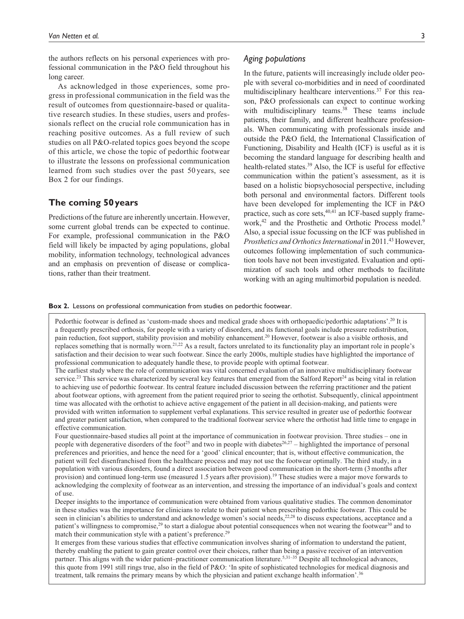the authors reflects on his personal experiences with professional communication in the P&O field throughout his long career.

As acknowledged in those experiences, some progress in professional communication in the field was the result of outcomes from questionnaire-based or qualitative research studies. In these studies, users and professionals reflect on the crucial role communication has in reaching positive outcomes. As a full review of such studies on all P&O-related topics goes beyond the scope of this article, we chose the topic of pedorthic footwear to illustrate the lessons on professional communication learned from such studies over the past 50 years, see Box 2 for our findings.

#### **The coming 50years**

Predictions of the future are inherently uncertain. However, some current global trends can be expected to continue. For example, professional communication in the P&O field will likely be impacted by aging populations, global mobility, information technology, technological advances and an emphasis on prevention of disease or complications, rather than their treatment.

#### *Aging populations*

In the future, patients will increasingly include older people with several co-morbidities and in need of coordinated multidisciplinary healthcare interventions.<sup>37</sup> For this reason, P&O professionals can expect to continue working with multidisciplinary teams.<sup>38</sup> These teams include patients, their family, and different healthcare professionals. When communicating with professionals inside and outside the P&O field, the International Classification of Functioning, Disability and Health (ICF) is useful as it is becoming the standard language for describing health and health-related states.<sup>39</sup> Also, the ICF is useful for effective communication within the patient's assessment, as it is based on a holistic biopsychosocial perspective, including both personal and environmental factors. Different tools have been developed for implementing the ICF in P&O practice, such as core sets,<sup>40,41</sup> an ICF-based supply framework,<sup>42</sup> and the Prosthetic and Orthotic Process model.<sup>9</sup> Also, a special issue focussing on the ICF was published in *Prosthetics and Orthotics International* in 2011.43 However, outcomes following implementation of such communication tools have not been investigated. Evaluation and optimization of such tools and other methods to facilitate working with an aging multimorbid population is needed.

**Box 2.** Lessons on professional communication from studies on pedorthic footwear.

Pedorthic footwear is defined as 'custom-made shoes and medical grade shoes with orthopaedic/pedorthic adaptations'.20 It is a frequently prescribed orthosis, for people with a variety of disorders, and its functional goals include pressure redistribution, pain reduction, foot support, stability provision and mobility enhancement.20 However, footwear is also a visible orthosis, and replaces something that is normally worn.21,22 As a result, factors unrelated to its functionality play an important role in people's satisfaction and their decision to wear such footwear. Since the early 2000s, multiple studies have highlighted the importance of professional communication to adequately handle these, to provide people with optimal footwear.

The earliest study where the role of communication was vital concerned evaluation of an innovative multidisciplinary footwear service.<sup>23</sup> This service was characterized by several key features that emerged from the Salford Report<sup>24</sup> as being vital in relation to achieving use of pedorthic footwear. Its central feature included discussion between the referring practitioner and the patient about footwear options, with agreement from the patient required prior to seeing the orthotist. Subsequently, clinical appointment time was allocated with the orthotist to achieve active engagement of the patient in all decision-making, and patients were provided with written information to supplement verbal explanations. This service resulted in greater use of pedorthic footwear and greater patient satisfaction, when compared to the traditional footwear service where the orthotist had little time to engage in effective communication.

Four questionnaire-based studies all point at the importance of communication in footwear provision. Three studies – one in people with degenerative disorders of the foot<sup>25</sup> and two in people with diabetes<sup>26,27</sup> – highlighted the importance of personal preferences and priorities, and hence the need for a 'good' clinical encounter; that is, without effective communication, the patient will feel disenfranchised from the healthcare process and may not use the footwear optimally. The third study, in a population with various disorders, found a direct association between good communication in the short-term (3months after provision) and continued long-term use (measured 1.5 years after provision).19 These studies were a major move forwards to acknowledging the complexity of footwear as an intervention, and stressing the importance of an individual's goals and context of use.

Deeper insights to the importance of communication were obtained from various qualitative studies. The common denominator in these studies was the importance for clinicians to relate to their patient when prescribing pedorthic footwear. This could be seen in clinician's abilities to understand and acknowledge women's social needs, $22.28$  to discuss expectations, acceptance and a patient's willingness to compromise,<sup>29</sup> to start a dialogue about potential consequences when not wearing the footwear $30$  and to match their communication style with a patient's preference.<sup>29</sup>

It emerges from these various studies that effective communication involves sharing of information to understand the patient, thereby enabling the patient to gain greater control over their choices, rather than being a passive receiver of an intervention partner. This aligns with the wider patient–practitioner communication literature.<sup>5,31–35</sup> Despite all technological advances, this quote from 1991 still rings true, also in the field of P&O: 'In spite of sophisticated technologies for medical diagnosis and treatment, talk remains the primary means by which the physician and patient exchange health information'.<sup>36</sup>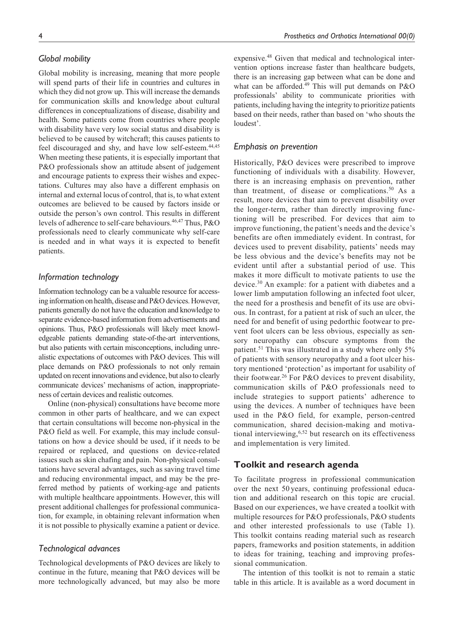#### *Global mobility*

Global mobility is increasing, meaning that more people will spend parts of their life in countries and cultures in which they did not grow up. This will increase the demands for communication skills and knowledge about cultural differences in conceptualizations of disease, disability and health. Some patients come from countries where people with disability have very low social status and disability is believed to be caused by witchcraft; this causes patients to feel discouraged and shy, and have low self-esteem.<sup>44,45</sup> When meeting these patients, it is especially important that P&O professionals show an attitude absent of judgement and encourage patients to express their wishes and expectations. Cultures may also have a different emphasis on internal and external locus of control, that is, to what extent outcomes are believed to be caused by factors inside or outside the person's own control. This results in different levels of adherence to self-care behaviours.46,47 Thus, P&O professionals need to clearly communicate why self-care is needed and in what ways it is expected to benefit patients.

#### *Information technology*

Information technology can be a valuable resource for accessing information on health, disease and P&O devices. However, patients generally do not have the education and knowledge to separate evidence-based information from advertisements and opinions. Thus, P&O professionals will likely meet knowledgeable patients demanding state-of-the-art interventions, but also patients with certain misconceptions, including unrealistic expectations of outcomes with P&O devices. This will place demands on P&O professionals to not only remain updated on recent innovations and evidence, but also to clearly communicate devices' mechanisms of action, inappropriateness of certain devices and realistic outcomes.

Online (non-physical) consultations have become more common in other parts of healthcare, and we can expect that certain consultations will become non-physical in the P&O field as well. For example, this may include consultations on how a device should be used, if it needs to be repaired or replaced, and questions on device-related issues such as skin chafing and pain. Non-physical consultations have several advantages, such as saving travel time and reducing environmental impact, and may be the preferred method by patients of working-age and patients with multiple healthcare appointments. However, this will present additional challenges for professional communication, for example, in obtaining relevant information when it is not possible to physically examine a patient or device.

#### *Technological advances*

Technological developments of P&O devices are likely to continue in the future, meaning that P&O devices will be more technologically advanced, but may also be more expensive.48 Given that medical and technological intervention options increase faster than healthcare budgets, there is an increasing gap between what can be done and what can be afforded.<sup>49</sup> This will put demands on P&O professionals' ability to communicate priorities with patients, including having the integrity to prioritize patients based on their needs, rather than based on 'who shouts the loudest'.

#### *Emphasis on prevention*

Historically, P&O devices were prescribed to improve functioning of individuals with a disability. However, there is an increasing emphasis on prevention, rather than treatment, of disease or complications.<sup>50</sup> As a result, more devices that aim to prevent disability over the longer-term, rather than directly improving functioning will be prescribed. For devices that aim to improve functioning, the patient's needs and the device's benefits are often immediately evident. In contrast, for devices used to prevent disability, patients' needs may be less obvious and the device's benefits may not be evident until after a substantial period of use. This makes it more difficult to motivate patients to use the device.30 An example: for a patient with diabetes and a lower limb amputation following an infected foot ulcer, the need for a prosthesis and benefit of its use are obvious. In contrast, for a patient at risk of such an ulcer, the need for and benefit of using pedorthic footwear to prevent foot ulcers can be less obvious, especially as sensory neuropathy can obscure symptoms from the patient.51 This was illustrated in a study where only 5% of patients with sensory neuropathy and a foot ulcer history mentioned 'protection' as important for usability of their footwear.26 For P&O devices to prevent disability, communication skills of P&O professionals need to include strategies to support patients' adherence to using the devices. A number of techniques have been used in the P&O field, for example, person-centred communication, shared decision-making and motivational interviewing,<sup>6,52</sup> but research on its effectiveness and implementation is very limited.

#### **Toolkit and research agenda**

To facilitate progress in professional communication over the next 50 years, continuing professional education and additional research on this topic are crucial. Based on our experiences, we have created a toolkit with multiple resources for P&O professionals, P&O students and other interested professionals to use (Table 1). This toolkit contains reading material such as research papers, frameworks and position statements, in addition to ideas for training, teaching and improving professional communication.

The intention of this toolkit is not to remain a static table in this article. It is available as a word document in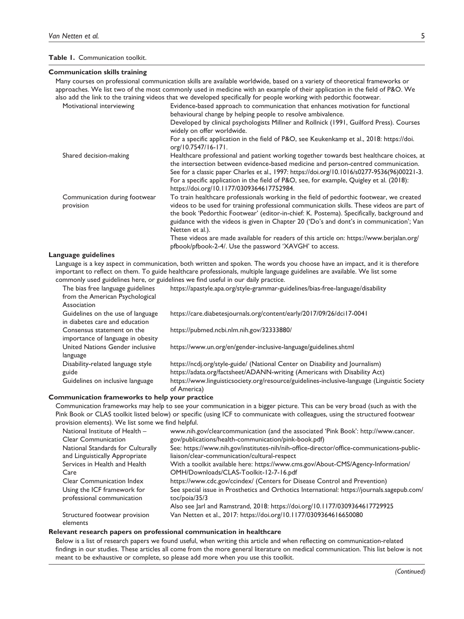#### **Table 1.** Communication toolkit.

#### **Communication skills training**

 Many courses on professional communication skills are available worldwide, based on a variety of theoretical frameworks or approaches. We list two of the most commonly used in medicine with an example of their application in the field of P&O. We also add the link to the training videos that we developed specifically for people working with pedorthic footwear.

| Motivational interviewing                  | Evidence-based approach to communication that enhances motivation for functional<br>behavioural change by helping people to resolve ambivalence.                                                                                                                                                                                                                                                                                                                                                                                                           |
|--------------------------------------------|------------------------------------------------------------------------------------------------------------------------------------------------------------------------------------------------------------------------------------------------------------------------------------------------------------------------------------------------------------------------------------------------------------------------------------------------------------------------------------------------------------------------------------------------------------|
|                                            | Developed by clinical psychologists Millner and Rollnick (1991, Guilford Press). Courses<br>widely on offer worldwide.                                                                                                                                                                                                                                                                                                                                                                                                                                     |
|                                            | For a specific application in the field of P&O, see Keukenkamp et al., 2018: https://doi.<br>org/10.7547/16-171.                                                                                                                                                                                                                                                                                                                                                                                                                                           |
| Shared decision-making                     | Healthcare professional and patient working together towards best healthcare choices, at<br>the intersection between evidence-based medicine and person-centred communication.<br>See for a classic paper Charles et al., 1997: https://doi.org/10.1016/s0277-9536(96)00221-3.<br>For a specific application in the field of P&O, see, for example, Quigley et al. (2018):<br>https://doi.org/10.1177/0309364617752984.                                                                                                                                    |
| Communication during footwear<br>provision | To train healthcare professionals working in the field of pedorthic footwear, we created<br>videos to be used for training professional communication skills. These videos are part of<br>the book 'Pedorthic Footwear' (editor-in-chief: K. Postema). Specifically, background and<br>guidance with the videos is given in Chapter 20 ('Do's and dont's in communication'; Van<br>Netten et al.).<br>These videos are made available for readers of this article on: https://www.berjalan.org/<br>pfbook/pfbook-2-4/. Use the password 'XAVGH' to access. |

#### **Language guidelines**

 Language is a key aspect in communication, both written and spoken. The words you choose have an impact, and it is therefore important to reflect on them. To guide healthcare professionals, multiple language guidelines are available. We list some commonly used guidelines here, or guidelines we find useful in our daily practice.

| The bias free language guidelines<br>from the American Psychological<br>Association | https://apastyle.apa.org/style-grammar-guidelines/bias-free-language/disability                                                                           |
|-------------------------------------------------------------------------------------|-----------------------------------------------------------------------------------------------------------------------------------------------------------|
| Guidelines on the use of language<br>in diabetes care and education                 | https://care.diabetesjournals.org/content/early/2017/09/26/dci17-0041                                                                                     |
| Consensus statement on the<br>importance of language in obesity                     | https://pubmed.ncbi.nlm.nih.gov/32333880/                                                                                                                 |
| United Nations Gender inclusive<br>language                                         | https://www.un.org/en/gender-inclusive-language/guidelines.shtml                                                                                          |
| Disability-related language style<br>guide                                          | https://ncdj.org/style-guide/ (National Center on Disability and Journalism)<br>https://adata.org/factsheet/ADANN-writing (Americans with Disability Act) |
| Guidelines on inclusive language                                                    | https://www.linguisticsociety.org/resource/guidelines-inclusive-language (Linguistic Society<br>of America)                                               |
| Communication frameworks to help your practice                                      |                                                                                                                                                           |
|                                                                                     | Communication frameworks may help to see your communication in a bigger picture. This can be very broad (such as with the                                 |

Pink Book or CLAS toolkit listed below) or specific (using ICF to communicate with colleagues, using the structured footwear provision elements). We list some we find helpful.

| National Institute of Health -                                      | www.nih.gov/clearcommunication (and the associated 'Pink Book': http://www.cancer.                                                        |
|---------------------------------------------------------------------|-------------------------------------------------------------------------------------------------------------------------------------------|
| <b>Clear Communication</b>                                          | gov/publications/health-communication/pink-book.pdf)                                                                                      |
| National Standards for Culturally<br>and Linguistically Appropriate | See: https://www.nih.gov/institutes-nih/nih-office-director/office-communications-public-<br>liaison/clear-communication/cultural-respect |
| Services in Health and Health                                       | With a toolkit available here: https://www.cms.gov/About-CMS/Agency-Information/                                                          |
| Care                                                                | OMH/Downloads/CLAS-Toolkit-12-7-16.pdf                                                                                                    |
| <b>Clear Communication Index</b>                                    | https://www.cdc.gov/ccindex/ (Centers for Disease Control and Prevention)                                                                 |
| Using the ICF framework for<br>professional communication           | See special issue in Prosthetics and Orthotics International: https://journals.sagepub.com/<br>toc/poia/35/3                              |
|                                                                     | Also see Jarl and Ramstrand, 2018: https://doi.org/10.1177/0309364617729925                                                               |
| Structured footwear provision<br>elements                           | Van Netten et al., 2017: https://doi.org/10.1177/0309364616650080                                                                         |
|                                                                     |                                                                                                                                           |

#### **Relevant research papers on professional communication in healthcare**

 Below is a list of research papers we found useful, when writing this article and when reflecting on communication-related findings in our studies. These articles all come from the more general literature on medical communication. This list below is not meant to be exhaustive or complete, so please add more when you use this toolkit.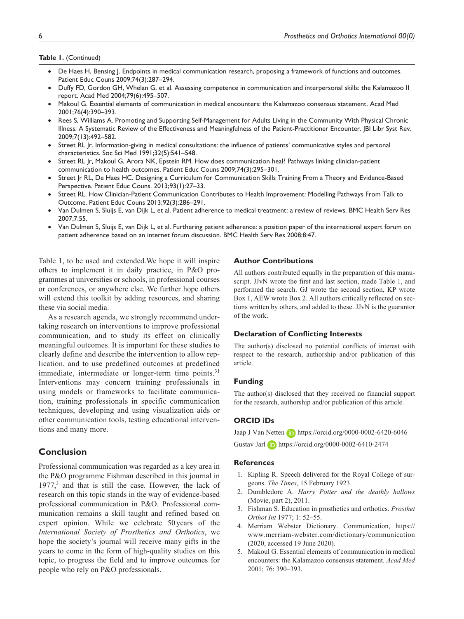#### **Table 1.** (Continued)

- De Haes H, Bensing J. Endpoints in medical communication research, proposing a framework of functions and outcomes. Patient Educ Couns 2009;74(3):287–294.
- Duffy FD, Gordon GH, Whelan G, et al. Assessing competence in communication and interpersonal skills: the Kalamazoo II report. Acad Med 2004;79(6):495–507.
- Makoul G. Essential elements of communication in medical encounters: the Kalamazoo consensus statement. Acad Med 2001;76(4):390–393.
- Rees S, Williams A. Promoting and Supporting Self-Management for Adults Living in the Community With Physical Chronic Illness: A Systematic Review of the Effectiveness and Meaningfulness of the Patient-Practitioner Encounter. JBI Libr Syst Rev. 2009;7(13):492–582.
- Street RL Jr. Information-giving in medical consultations: the influence of patients' communicative styles and personal characteristics. Soc Sci Med 1991;32(5):541–548.
- Street RL Jr, Makoul G, Arora NK, Epstein RM. How does communication heal? Pathways linking clinician-patient communication to health outcomes. Patient Educ Couns 2009;74(3):295–301.
- Street Jr RL, De Haes HC. Designing a Curriculum for Communication Skills Training From a Theory and Evidence-Based Perspective. Patient Educ Couns. 2013;93(1):27–33.
- Street RL. How Clinician-Patient Communication Contributes to Health Improvement: Modelling Pathways From Talk to Outcome. Patient Educ Couns 2013;92(3):286–291.
- Van Dulmen S, Sluijs E, van Dijk L, et al. Patient adherence to medical treatment: a review of reviews. BMC Health Serv Res 2007;7:55.
- Van Dulmen S, Sluijs E, van Dijk L, et al. Furthering patient adherence: a position paper of the international expert forum on patient adherence based on an internet forum discussion. BMC Health Serv Res 2008;8:47.

Table 1, to be used and extended.We hope it will inspire others to implement it in daily practice, in P&O programmes at universities or schools, in professional courses or conferences, or anywhere else. We further hope others will extend this toolkit by adding resources, and sharing these via social media.

As a research agenda, we strongly recommend undertaking research on interventions to improve professional communication, and to study its effect on clinically meaningful outcomes. It is important for these studies to clearly define and describe the intervention to allow replication, and to use predefined outcomes at predefined immediate, intermediate or longer-term time points. $31$ Interventions may concern training professionals in using models or frameworks to facilitate communication, training professionals in specific communication techniques, developing and using visualization aids or other communication tools, testing educational interventions and many more.

#### **Conclusion**

Professional communication was regarded as a key area in the P&O programme Fishman described in this journal in 1977,<sup>3</sup> and that is still the case. However, the lack of research on this topic stands in the way of evidence-based professional communication in P&O. Professional communication remains a skill taught and refined based on expert opinion. While we celebrate 50years of the *International Society of Prosthetics and Orthotics*, we hope the society's journal will receive many gifts in the years to come in the form of high-quality studies on this topic, to progress the field and to improve outcomes for people who rely on P&O professionals.

#### **Author Contributions**

All authors contributed equally in the preparation of this manuscript. JJvN wrote the first and last section, made Table 1, and performed the search. GJ wrote the second section, KP wrote Box 1, AEW wrote Box 2. All authors critically reflected on sections written by others, and added to these. JJvN is the guarantor of the work.

#### **Declaration of Conflicting Interests**

The author(s) disclosed no potential conflicts of interest with respect to the research, authorship and/or publication of this article.

#### **Funding**

The author(s) disclosed that they received no financial support for the research, authorship and/or publication of this article.

#### **ORCID iDs**

Jaap J Van Netten **in** <https://orcid.org/0000-0002-6420-6046> Gustav Jarl <https://orcid.org/0000-0002-6410-2474>

#### **References**

- 1. Kipling R. Speech delivered for the Royal College of surgeons. *The Times*, 15 February 1923.
- 2. Dumbledore A. *Harry Potter and the deathly hallows* (Movie, part 2), 2011.
- 3. Fishman S. Education in prosthetics and orthotics. *Prosthet Orthot Int* 1977; 1: 52–55.
- 4. Merriam Webster Dictionary. Communication, [https://](https://www.merriam-webster.com/dictionary/communication) [www.merriam-webster.com/dictionary/communication](https://www.merriam-webster.com/dictionary/communication)  (2020, accessed 19 June 2020).
- 5. Makoul G. Essential elements of communication in medical encounters: the Kalamazoo consensus statement. *Acad Med* 2001; 76: 390–393.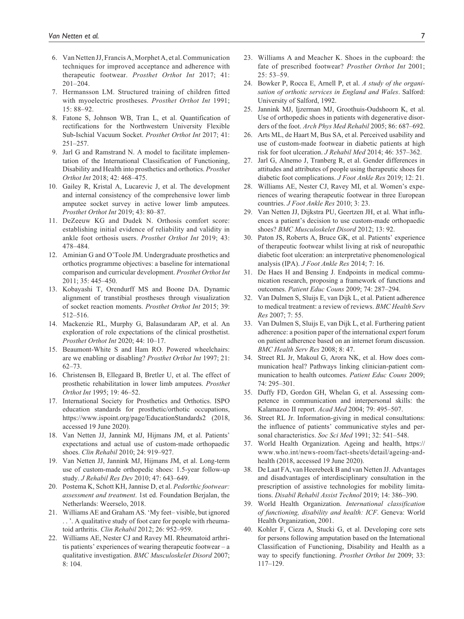- 6. Van Netten JJ, Francis A, Morphet A, et al. Communication techniques for improved acceptance and adherence with therapeutic footwear. *Prosthet Orthot Int* 2017; 41: 201–204.
- 7. Hermansson LM. Structured training of children fitted with myoelectric prostheses. *Prosthet Orthot Int* 1991; 15: 88–92.
- 8. Fatone S, Johnson WB, Tran L, et al. Quantification of rectifications for the Northwestern University Flexible Sub-Ischial Vacuum Socket. *Prosthet Orthot Int* 2017; 41: 251–257.
- 9. Jarl G and Ramstrand N. A model to facilitate implementation of the International Classification of Functioning, Disability and Health into prosthetics and orthotics. *Prosthet Orthot Int* 2018; 42: 468–475.
- 10. Gailey R, Kristal A, Lucarevic J, et al. The development and internal consistency of the comprehensive lower limb amputee socket survey in active lower limb amputees. *Prosthet Orthot Int* 2019; 43: 80–87.
- 11. DeZeeuw KG and Dudek N. Orthosis comfort score: establishing initial evidence of reliability and validity in ankle foot orthosis users. *Prosthet Orthot Int* 2019; 43: 478–484.
- 12. Aminian G and O'Toole JM. Undergraduate prosthetics and orthotics programme objectives: a baseline for international comparison and curricular development. *Prosthet Orthot Int* 2011; 35: 445–450.
- 13. Kobayashi T, Orendurff MS and Boone DA. Dynamic alignment of transtibial prostheses through visualization of socket reaction moments. *Prosthet Orthot Int* 2015; 39: 512–516.
- 14. Mackenzie RL, Murphy G, Balasundaram AP, et al. An exploration of role expectations of the clinical prosthetist. *Prosthet Orthot Int* 2020; 44: 10–17.
- 15. Beaumont-White S and Ham RO. Powered wheelchairs: are we enabling or disabling? *Prosthet Orthot Int* 1997; 21: 62–73.
- 16. Christensen B, Ellegaard B, Bretler U, et al. The effect of prosthetic rehabilitation in lower limb amputees. *Prosthet Orthot Int* 1995; 19: 46–52.
- 17. International Society for Prosthetics and Orthotics. ISPO education standards for prosthetic/orthotic occupations, <https://www.ispoint.org/page/EducationStandards2> (2018, accessed 19 June 2020).
- 18. Van Netten JJ, Jannink MJ, Hijmans JM, et al. Patients' expectations and actual use of custom-made orthopaedic shoes. *Clin Rehabil* 2010; 24: 919–927.
- 19. Van Netten JJ, Jannink MJ, Hijmans JM, et al. Long-term use of custom-made orthopedic shoes: 1.5-year follow-up study. *J Rehabil Res Dev* 2010; 47: 643–649.
- 20. Postema K, Schott KH, Jannise D, et al. *Pedorthic footwear: assessment and treatment*. 1st ed. Foundation Berjalan, the Netherlands: Weerselo, 2018.
- 21. Williams AE and Graham AS. 'My feet– visible, but ignored . . '. A qualitative study of foot care for people with rheumatoid arthritis. *Clin Rehabil* 2012; 26: 952–959.
- 22. Williams AE, Nester CJ and Ravey MI. Rheumatoid arthritis patients' experiences of wearing therapeutic footwear – a qualitative investigation. *BMC Musculoskelet Disord* 2007; 8: 104.
- 23. Williams A and Meacher K. Shoes in the cupboard: the fate of prescribed footwear? *Prosthet Orthot Int* 2001; 25: 53–59.
- 24. Bowker P, Rocca E, Arnell P, et al. *A study of the organisation of orthotic services in England and Wales*. Salford: University of Salford, 1992.
- 25. Jannink MJ, Ijzerman MJ, Groothuis-Oudshoorn K, et al. Use of orthopedic shoes in patients with degenerative disorders of the foot. *Arch Phys Med Rehabil* 2005; 86: 687–692.
- 26. Arts ML, de Haart M, Bus SA, et al. Perceived usability and use of custom-made footwear in diabetic patients at high risk for foot ulceration. *J Rehabil Med* 2014; 46: 357–362.
- 27. Jarl G, Alnemo J, Tranberg R, et al. Gender differences in attitudes and attributes of people using therapeutic shoes for diabetic foot complications. *J Foot Ankle Res* 2019; 12: 21.
- 28. Williams AE, Nester CJ, Ravey MI, et al. Women's experiences of wearing therapeutic footwear in three European countries. *J Foot Ankle Res* 2010; 3: 23.
- 29. Van Netten JJ, Dijkstra PU, Geertzen JH, et al. What influences a patient's decision to use custom-made orthopaedic shoes? *BMC Musculoskelet Disord* 2012; 13: 92.
- 30. Paton JS, Roberts A, Bruce GK, et al. Patients' experience of therapeutic footwear whilst living at risk of neuropathic diabetic foot ulceration: an interpretative phenomenological analysis (IPA). *J Foot Ankle Res* 2014; 7: 16.
- 31. De Haes H and Bensing J. Endpoints in medical communication research, proposing a framework of functions and outcomes. *Patient Educ Couns* 2009; 74: 287–294.
- 32. Van Dulmen S, Sluijs E, van Dijk L, et al. Patient adherence to medical treatment: a review of reviews. *BMC Health Serv Res* 2007; 7: 55.
- 33. Van Dulmen S, Sluijs E, van Dijk L, et al. Furthering patient adherence: a position paper of the international expert forum on patient adherence based on an internet forum discussion. *BMC Health Serv Res* 2008; 8: 47.
- 34. Street RL Jr, Makoul G, Arora NK, et al. How does communication heal? Pathways linking clinician-patient communication to health outcomes. *Patient Educ Couns* 2009; 74: 295–301.
- 35. Duffy FD, Gordon GH, Whelan G, et al. Assessing competence in communication and interpersonal skills: the Kalamazoo II report. *Acad Med* 2004; 79: 495–507.
- 36. Street RL Jr. Information-giving in medical consultations: the influence of patients' communicative styles and personal characteristics. *Soc Sci Med* 1991; 32: 541–548.
- 37. World Health Organization. Ageing and health, [https://](https://www.who.int/news-room/fact-sheets/detail/ageing-and-health) [www.who.int/news-room/fact-sheets/detail/ageing-and](https://www.who.int/news-room/fact-sheets/detail/ageing-and-health)[health](https://www.who.int/news-room/fact-sheets/detail/ageing-and-health) (2018, accessed 19 June 2020).
- 38. De Laat FA, van Heerebeek B and van Netten JJ. Advantages and disadvantages of interdisciplinary consultation in the prescription of assistive technologies for mobility limitations. *Disabil Rehabil Assist Technol* 2019; 14: 386–390.
- 39. World Health Organization. *International classification of functioning, disability and health: ICF*. Geneva: World Health Organization, 2001.
- 40. Kohler F, Cieza A, Stucki G, et al. Developing core sets for persons following amputation based on the International Classification of Functioning, Disability and Health as a way to specify functioning. *Prosthet Orthot Int* 2009; 33: 117–129.